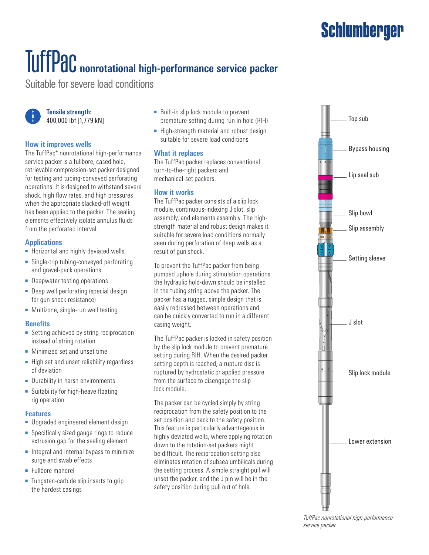## **Schlumberger**

# TuffPac **nonrotational high-performance service packer**

Suitable for severe load conditions



**Tensile strength:** 400,000 lbf [1,779 kN]

#### **How it improves wells**

The TuffPac\* nonrotational high-performance service packer is a fullbore, cased hole, retrievable compression-set packer designed for testing and tubing-conveyed perforating operations. It is designed to withstand severe shock, high flow rates, and high pressures when the appropriate slacked-off weight has been applied to the packer. The sealing elements effectively isolate annulus fluids from the perforated interval.

#### **Applications**

- Horizontal and highly deviated wells
- Single-trip tubing-conveyed perforating and gravel-pack operations
- Deepwater testing operations
- Deep well perforating (special design for gun shock resistance)
- Multizone, single-run well testing

#### **Benefits**

- Setting achieved by string reciprocation instead of string rotation
- Minimized set and unset time
- High set and unset reliability regardless of deviation
- Durability in harsh environments
- Suitability for high-heave floating rig operation

#### **Features**

- Upgraded engineered element design
- Specifically sized gauge rings to reduce extrusion gap for the sealing element
- Integral and internal bypass to minimize surge and swab effects
- Fullbore mandrel
- Tungsten-carbide slip inserts to grip the hardest casings
- Built-in slip lock module to prevent premature setting during run in hole (RIH)
- High-strength material and robust design suitable for severe load conditions

#### **What it replaces**

The TuffPac packer replaces conventional turn-to-the-right packers and mechanical-set packers.

#### **How it works**

The TuffPac packer consists of a slip lock module, continuous-indexing J slot, slip assembly, and elements assembly. The highstrength material and robust design makes it suitable for severe load conditions normally seen during perforation of deep wells as a result of gun shock.

To prevent the TuffPac packer from being pumped uphole during stimulation operations, the hydraulic hold-down should be installed in the tubing string above the packer. The packer has a rugged, simple design that is easily redressed between operations and can be quickly converted to run in a different casing weight.

The TuffPac packer is locked in safety position by the slip lock module to prevent premature setting during RIH. When the desired packer setting depth is reached, a rupture disc is ruptured by hydrostatic or applied pressure from the surface to disengage the slip lock module.

The packer can be cycled simply by string reciprocation from the safety position to the set position and back to the safety position. This feature is particularly advantageous in highly deviated wells, where applying rotation down to the rotation-set packers might be difficult. The reciprocation setting also eliminates rotation of subsea umbilicals during the setting process. A simple straight pull will unset the packer, and the J pin will be in the safety position during pull out of hole.



*TuffPac nonrotational high-performance service packer.*